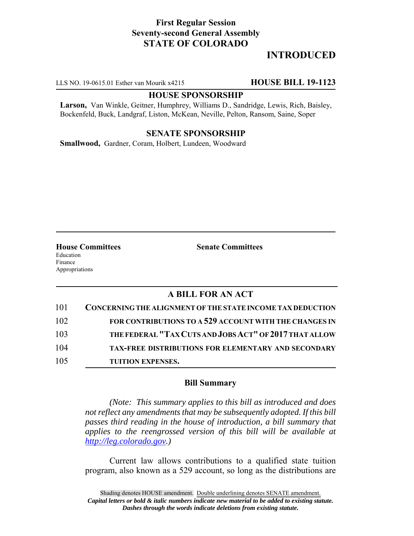## **First Regular Session Seventy-second General Assembly STATE OF COLORADO**

# **INTRODUCED**

LLS NO. 19-0615.01 Esther van Mourik x4215 **HOUSE BILL 19-1123**

#### **HOUSE SPONSORSHIP**

**Larson,** Van Winkle, Geitner, Humphrey, Williams D., Sandridge, Lewis, Rich, Baisley, Bockenfeld, Buck, Landgraf, Liston, McKean, Neville, Pelton, Ransom, Saine, Soper

#### **SENATE SPONSORSHIP**

**Smallwood,** Gardner, Coram, Holbert, Lundeen, Woodward

**House Committees Senate Committees** Education Finance Appropriations

### **A BILL FOR AN ACT**

| 101 | CONCERNING THE ALIGNMENT OF THE STATE INCOME TAX DEDUCTION |
|-----|------------------------------------------------------------|
| 102 | FOR CONTRIBUTIONS TO A 529 ACCOUNT WITH THE CHANGES IN     |
| 103 | THE FEDERAL "TAX CUTS AND JOBS ACT" OF 2017 THAT ALLOW     |
| 104 | <b>TAX-FREE DISTRIBUTIONS FOR ELEMENTARY AND SECONDARY</b> |
| 105 | <b>TUITION EXPENSES.</b>                                   |

#### **Bill Summary**

*(Note: This summary applies to this bill as introduced and does not reflect any amendments that may be subsequently adopted. If this bill passes third reading in the house of introduction, a bill summary that applies to the reengrossed version of this bill will be available at http://leg.colorado.gov.)*

Current law allows contributions to a qualified state tuition program, also known as a 529 account, so long as the distributions are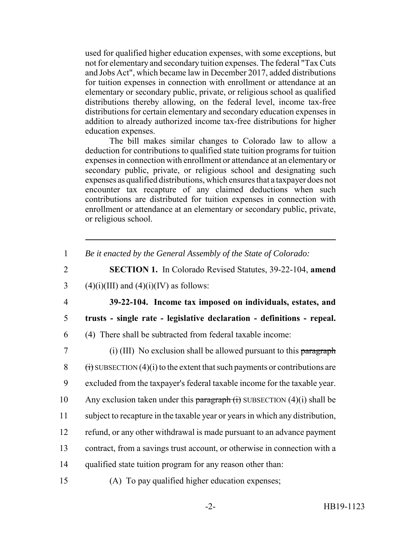used for qualified higher education expenses, with some exceptions, but not for elementary and secondary tuition expenses. The federal "Tax Cuts and Jobs Act", which became law in December 2017, added distributions for tuition expenses in connection with enrollment or attendance at an elementary or secondary public, private, or religious school as qualified distributions thereby allowing, on the federal level, income tax-free distributions for certain elementary and secondary education expenses in addition to already authorized income tax-free distributions for higher education expenses.

The bill makes similar changes to Colorado law to allow a deduction for contributions to qualified state tuition programs for tuition expenses in connection with enrollment or attendance at an elementary or secondary public, private, or religious school and designating such expenses as qualified distributions, which ensures that a taxpayer does not encounter tax recapture of any claimed deductions when such contributions are distributed for tuition expenses in connection with enrollment or attendance at an elementary or secondary public, private, or religious school.

1 *Be it enacted by the General Assembly of the State of Colorado:*

2 **SECTION 1.** In Colorado Revised Statutes, 39-22-104, **amend** 3 (4)(i)(III) and (4)(i)(IV) as follows:

4 **39-22-104. Income tax imposed on individuals, estates, and** 5 **trusts - single rate - legislative declaration - definitions - repeal.** 6 (4) There shall be subtracted from federal taxable income:

 (i) (III) No exclusion shall be allowed pursuant to this paragraph  $(i)$  SUBSECTION (4)(i) to the extent that such payments or contributions are excluded from the taxpayer's federal taxable income for the taxable year. 10 Any exclusion taken under this paragraph  $(i)$  SUBSECTION  $(4)(i)$  shall be subject to recapture in the taxable year or years in which any distribution, refund, or any other withdrawal is made pursuant to an advance payment contract, from a savings trust account, or otherwise in connection with a qualified state tuition program for any reason other than: (A) To pay qualified higher education expenses;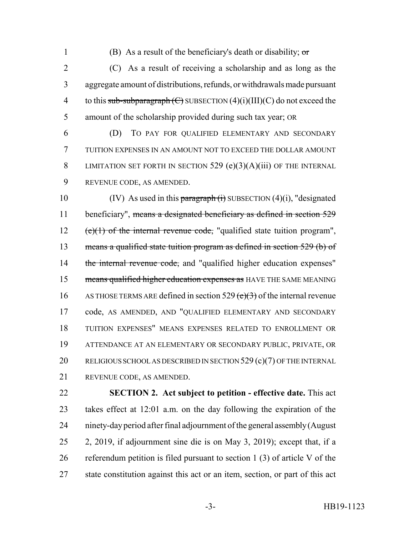1 (B) As a result of the beneficiary's death or disability;  $\sigma$ 

 (C) As a result of receiving a scholarship and as long as the aggregate amount of distributions, refunds, or withdrawals made pursuant 4 to this sub-subparagraph  $(\text{C})$  SUBSECTION  $(4)(i)(III)(C)$  do not exceed the amount of the scholarship provided during such tax year; OR

 (D) TO PAY FOR QUALIFIED ELEMENTARY AND SECONDARY TUITION EXPENSES IN AN AMOUNT NOT TO EXCEED THE DOLLAR AMOUNT 8 LIMITATION SET FORTH IN SECTION 529 (e)(3)(A)(iii) OF THE INTERNAL REVENUE CODE, AS AMENDED.

10 (IV) As used in this paragraph  $(i)$  SUBSECTION  $(4)(i)$ , "designated 11 beneficiary", means a designated beneficiary as defined in section 529 12  $(e)(1)$  of the internal revenue code, "qualified state tuition program", means a qualified state tuition program as defined in section 529 (b) of 14 the internal revenue code, and "qualified higher education expenses" 15 means qualified higher education expenses as HAVE THE SAME MEANING 16 AS THOSE TERMS ARE defined in section 529 ( $e$ )(3) of the internal revenue code, AS AMENDED, AND "QUALIFIED ELEMENTARY AND SECONDARY TUITION EXPENSES" MEANS EXPENSES RELATED TO ENROLLMENT OR ATTENDANCE AT AN ELEMENTARY OR SECONDARY PUBLIC, PRIVATE, OR 20 RELIGIOUS SCHOOL AS DESCRIBED IN SECTION 529 (c)(7) OF THE INTERNAL REVENUE CODE, AS AMENDED.

 **SECTION 2. Act subject to petition - effective date.** This act takes effect at 12:01 a.m. on the day following the expiration of the ninety-day period after final adjournment of the general assembly (August 2, 2019, if adjournment sine die is on May 3, 2019); except that, if a referendum petition is filed pursuant to section 1 (3) of article V of the state constitution against this act or an item, section, or part of this act